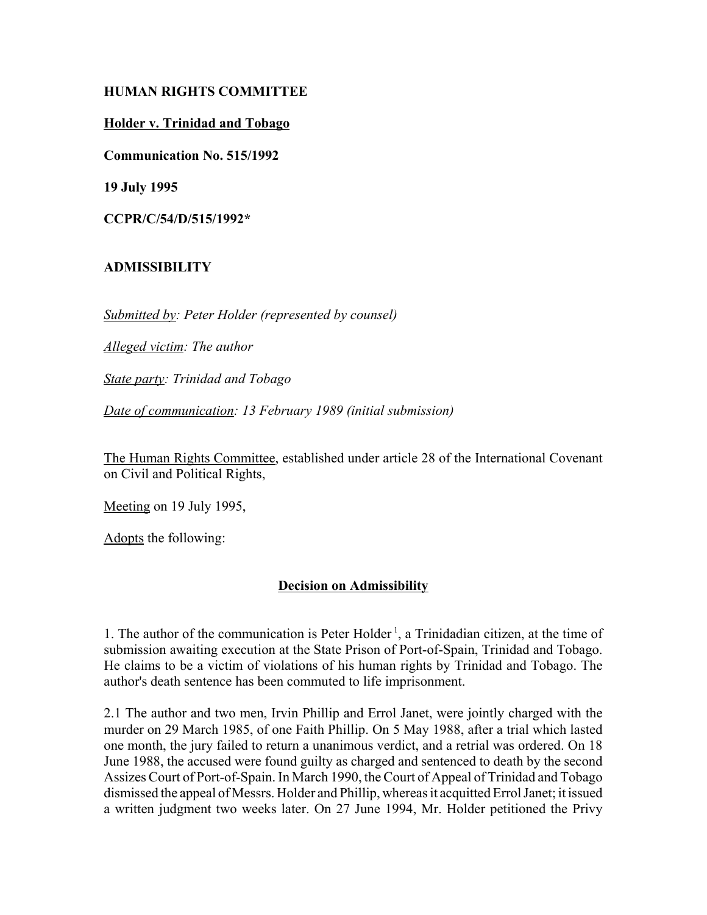## **HUMAN RIGHTS COMMITTEE**

### **Holder v. Trinidad and Tobago**

**Communication No. 515/1992**

**19 July 1995**

**CCPR/C/54/D/515/1992\***

# **ADMISSIBILITY**

*Submitted by: Peter Holder (represented by counsel)*

*Alleged victim: The author*

*State party: Trinidad and Tobago*

*Date of communication: 13 February 1989 (initial submission)*

The Human Rights Committee, established under article 28 of the International Covenant on Civil and Political Rights,

Meeting on 19 July 1995,

Adopts the following:

# **Decision on Admissibility**

1. The author of the communication is Peter Holder<sup>1</sup>, a Trinidadian citizen, at the time of submission awaiting execution at the State Prison of Port-of-Spain, Trinidad and Tobago. He claims to be a victim of violations of his human rights by Trinidad and Tobago. The author's death sentence has been commuted to life imprisonment.

2.1 The author and two men, Irvin Phillip and Errol Janet, were jointly charged with the murder on 29 March 1985, of one Faith Phillip. On 5 May 1988, after a trial which lasted one month, the jury failed to return a unanimous verdict, and a retrial was ordered. On 18 June 1988, the accused were found guilty as charged and sentenced to death by the second Assizes Court of Port-of-Spain. In March 1990, the Court of Appeal of Trinidad and Tobago dismissed the appeal of Messrs. Holder and Phillip, whereas it acquitted Errol Janet; it issued a written judgment two weeks later. On 27 June 1994, Mr. Holder petitioned the Privy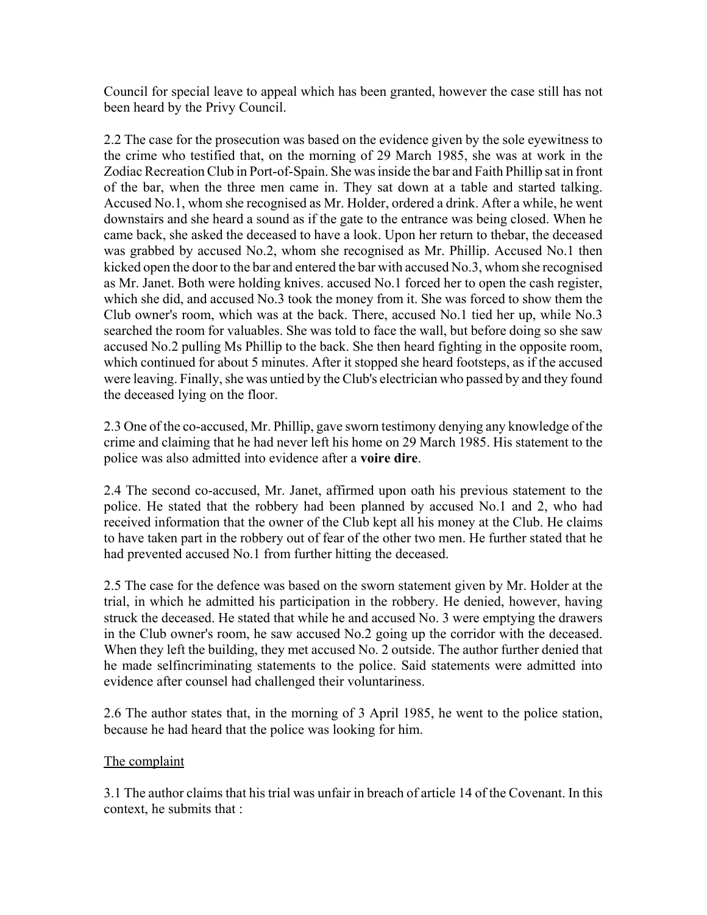Council for special leave to appeal which has been granted, however the case still has not been heard by the Privy Council.

2.2 The case for the prosecution was based on the evidence given by the sole eyewitness to the crime who testified that, on the morning of 29 March 1985, she was at work in the Zodiac Recreation Club in Port-of-Spain. She was inside the bar and Faith Phillip sat in front of the bar, when the three men came in. They sat down at a table and started talking. Accused No.1, whom she recognised as Mr. Holder, ordered a drink. After a while, he went downstairs and she heard a sound as if the gate to the entrance was being closed. When he came back, she asked the deceased to have a look. Upon her return to thebar, the deceased was grabbed by accused No.2, whom she recognised as Mr. Phillip. Accused No.1 then kicked open the door to the bar and entered the bar with accused No.3, whom she recognised as Mr. Janet. Both were holding knives. accused No.1 forced her to open the cash register, which she did, and accused No.3 took the money from it. She was forced to show them the Club owner's room, which was at the back. There, accused No.1 tied her up, while No.3 searched the room for valuables. She was told to face the wall, but before doing so she saw accused No.2 pulling Ms Phillip to the back. She then heard fighting in the opposite room, which continued for about 5 minutes. After it stopped she heard footsteps, as if the accused were leaving. Finally, she was untied by the Club's electrician who passed by and they found the deceased lying on the floor.

2.3 One of the co-accused, Mr. Phillip, gave sworn testimony denying any knowledge of the crime and claiming that he had never left his home on 29 March 1985. His statement to the police was also admitted into evidence after a **voire dire**.

2.4 The second co-accused, Mr. Janet, affirmed upon oath his previous statement to the police. He stated that the robbery had been planned by accused No.1 and 2, who had received information that the owner of the Club kept all his money at the Club. He claims to have taken part in the robbery out of fear of the other two men. He further stated that he had prevented accused No.1 from further hitting the deceased.

2.5 The case for the defence was based on the sworn statement given by Mr. Holder at the trial, in which he admitted his participation in the robbery. He denied, however, having struck the deceased. He stated that while he and accused No. 3 were emptying the drawers in the Club owner's room, he saw accused No.2 going up the corridor with the deceased. When they left the building, they met accused No. 2 outside. The author further denied that he made selfincriminating statements to the police. Said statements were admitted into evidence after counsel had challenged their voluntariness.

2.6 The author states that, in the morning of 3 April 1985, he went to the police station, because he had heard that the police was looking for him.

#### The complaint

3.1 The author claims that his trial was unfair in breach of article 14 of the Covenant. In this context, he submits that :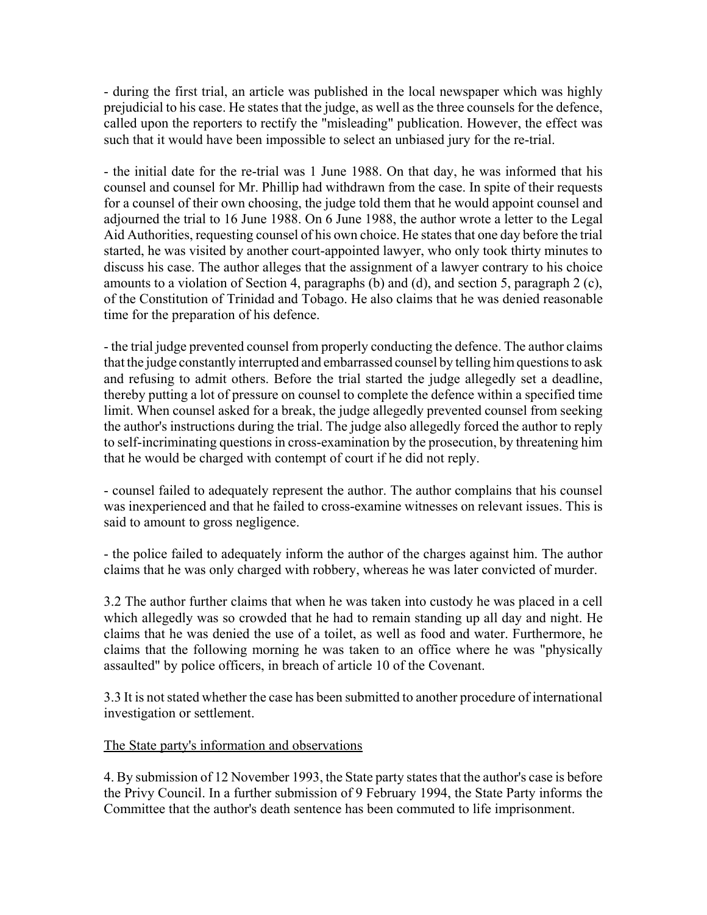- during the first trial, an article was published in the local newspaper which was highly prejudicial to his case. He states that the judge, as well as the three counsels for the defence, called upon the reporters to rectify the "misleading" publication. However, the effect was such that it would have been impossible to select an unbiased jury for the re-trial.

- the initial date for the re-trial was 1 June 1988. On that day, he was informed that his counsel and counsel for Mr. Phillip had withdrawn from the case. In spite of their requests for a counsel of their own choosing, the judge told them that he would appoint counsel and adjourned the trial to 16 June 1988. On 6 June 1988, the author wrote a letter to the Legal Aid Authorities, requesting counsel of his own choice. He states that one day before the trial started, he was visited by another court-appointed lawyer, who only took thirty minutes to discuss his case. The author alleges that the assignment of a lawyer contrary to his choice amounts to a violation of Section 4, paragraphs (b) and (d), and section 5, paragraph 2 (c), of the Constitution of Trinidad and Tobago. He also claims that he was denied reasonable time for the preparation of his defence.

- the trial judge prevented counsel from properly conducting the defence. The author claims that the judge constantly interrupted and embarrassed counsel by telling him questions to ask and refusing to admit others. Before the trial started the judge allegedly set a deadline, thereby putting a lot of pressure on counsel to complete the defence within a specified time limit. When counsel asked for a break, the judge allegedly prevented counsel from seeking the author's instructions during the trial. The judge also allegedly forced the author to reply to self-incriminating questions in cross-examination by the prosecution, by threatening him that he would be charged with contempt of court if he did not reply.

- counsel failed to adequately represent the author. The author complains that his counsel was inexperienced and that he failed to cross-examine witnesses on relevant issues. This is said to amount to gross negligence.

- the police failed to adequately inform the author of the charges against him. The author claims that he was only charged with robbery, whereas he was later convicted of murder.

3.2 The author further claims that when he was taken into custody he was placed in a cell which allegedly was so crowded that he had to remain standing up all day and night. He claims that he was denied the use of a toilet, as well as food and water. Furthermore, he claims that the following morning he was taken to an office where he was "physically assaulted" by police officers, in breach of article 10 of the Covenant.

3.3 It is not stated whether the case has been submitted to another procedure of international investigation or settlement.

#### The State party's information and observations

4. By submission of 12 November 1993, the State party states that the author's case is before the Privy Council. In a further submission of 9 February 1994, the State Party informs the Committee that the author's death sentence has been commuted to life imprisonment.